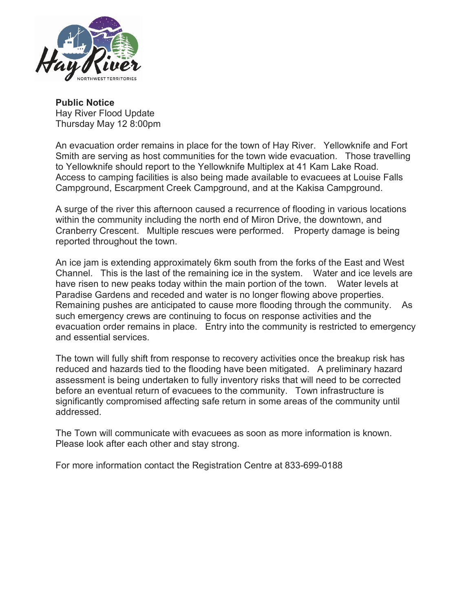

**Public Notice** Hay River Flood Update Thursday May 12 8:00pm

An evacuation order remains in place for the town of Hay River. Yellowknife and Fort Smith are serving as host communities for the town wide evacuation. Those travelling to Yellowknife should report to the Yellowknife Multiplex at 41 Kam Lake Road. Access to camping facilities is also being made available to evacuees at Louise Falls Campground, Escarpment Creek Campground, and at the Kakisa Campground.

A surge of the river this afternoon caused a recurrence of flooding in various locations within the community including the north end of Miron Drive, the downtown, and Cranberry Crescent. Multiple rescues were performed. Property damage is being reported throughout the town.

An ice jam is extending approximately 6km south from the forks of the East and West Channel. This is the last of the remaining ice in the system. Water and ice levels are have risen to new peaks today within the main portion of the town. Water levels at Paradise Gardens and receded and water is no longer flowing above properties. Remaining pushes are anticipated to cause more flooding through the community. As such emergency crews are continuing to focus on response activities and the evacuation order remains in place. Entry into the community is restricted to emergency and essential services.

The town will fully shift from response to recovery activities once the breakup risk has reduced and hazards tied to the flooding have been mitigated. A preliminary hazard assessment is being undertaken to fully inventory risks that will need to be corrected before an eventual return of evacuees to the community. Town infrastructure is significantly compromised affecting safe return in some areas of the community until addressed.

The Town will communicate with evacuees as soon as more information is known. Please look after each other and stay strong.

For more information contact the Registration Centre at 833-699-0188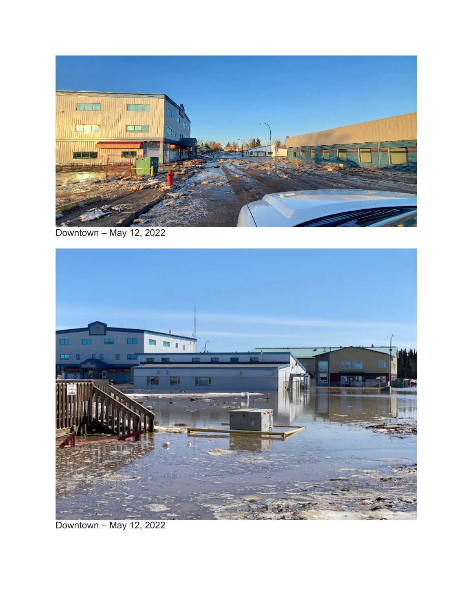

Downtown – May 12, 2022



Downtown – May 12, 2022